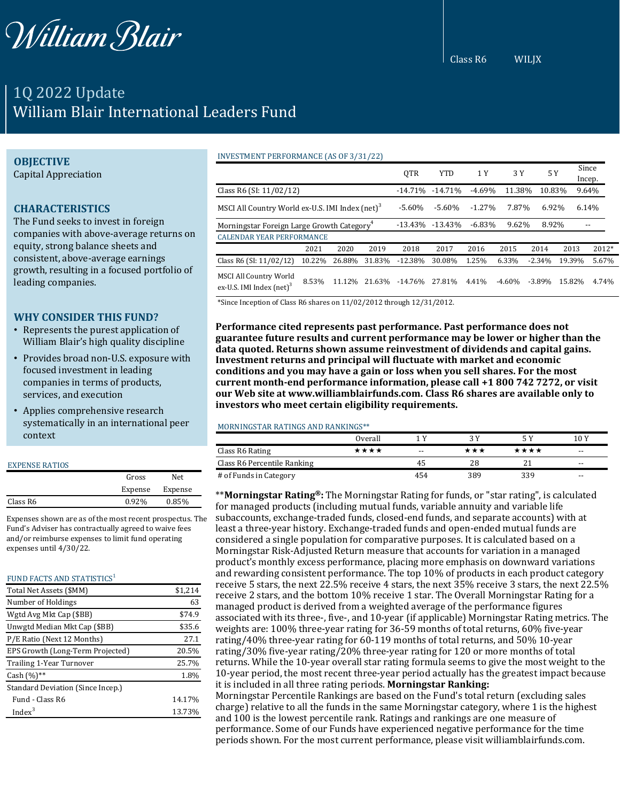

# 1Q 2022 Update William Blair International Leaders Fund

## **OBJECTIVE**

Capital Appreciation

# **CHARACTERISTICS**

The Fund seeks to invest in foreign companies with above-average returns on equity, strong balance sheets and consistent, above-average earnings growth, resulting in a focused portfolio of leading companies.

## **WHY CONSIDER THIS FUND?**

- Represents the purest application of William Blair's high quality discipline
- Provides broad non-U.S. exposure with focused investment in leading companies in terms of products, services, and execution
- Applies comprehensive research systematically in an international peer context

#### EXPENSE RATIOS

|          | Gross   | Net.    |
|----------|---------|---------|
|          | Expense | Expense |
| Class R6 | 0.92%   | 0.85%   |

Expenses shown are as of the most recent prospectus. The Fund's Adviser has contractually agreed to waive fees and/or reimburse expenses to limit fund operating expenses until 4/30/22.

#### FUND FACTS AND STATISTICS $1$

| Total Net Assets (\$MM)           | \$1,214 |
|-----------------------------------|---------|
| Number of Holdings                | 63      |
| Wgtd Avg Mkt Cap (\$BB)           | \$74.9  |
| Unwgtd Median Mkt Cap (\$BB)      | \$35.6  |
| P/E Ratio (Next 12 Months)        | 27.1    |
| EPS Growth (Long-Term Projected)  | 20.5%   |
| Trailing 1-Year Turnover          | 25.7%   |
| Cash $(%)$ **                     | 1.8%    |
| Standard Deviation (Since Incep.) |         |
| Fund - Class R6                   | 14.17%  |
| Index <sup>3</sup>                | 13.73%  |

#### INVESTMENT PERFORMANCE (AS OF 3/31/22)

|                                                             |        |        |            | QTR        | <b>YTD</b> | 1 Y      | 3 Y      | 5 Y       |        | Since<br>Incep. |
|-------------------------------------------------------------|--------|--------|------------|------------|------------|----------|----------|-----------|--------|-----------------|
| Class R6 (SI: 11/02/12)                                     |        |        | $-14.71\%$ | $-14.71%$  | $-4.69%$   | 11.38%   | 10.83%   |           | 9.64%  |                 |
| MSCI All Country World ex-U.S. IMI Index (net) <sup>3</sup> |        |        | $-5.60%$   | $-5.60\%$  | $-1.27%$   | 7.87%    | 6.92%    |           | 6.14%  |                 |
| Morningstar Foreign Large Growth Category <sup>4</sup>      |        |        |            | $-13.43\%$ | $-13.43%$  | $-6.83%$ | 9.62%    | 8.92%     |        | $ -$            |
| <b>CALENDAR YEAR PERFORMANCE</b>                            |        |        |            |            |            |          |          |           |        |                 |
|                                                             | 2021   | 2020   | 2019       | 2018       | 2017       | 2016     | 2015     | 2014      | 2013   | 2012*           |
| Class R6 (SI: 11/02/12)                                     | 10.22% | 26.88% | 31.83%     | $-12.38%$  | 30.08%     | 1.25%    | 6.33%    | $-2.34%$  | 19.39% | 5.67%           |
| MSCI All Country World<br>ex-U.S. IMI Index $(net)^3$       | 8.53%  | 11.12% | 21.63%     | $-14.76%$  | 27.81%     | 4.41%    | $-4.60%$ | $-3.89\%$ | 15.82% | 4.74%           |

\*Since Inception of Class R6 shares on 11/02/2012 through 12/31/2012.

**Performance cited represents past performance. Past performance does not guarantee future results and current performance may be lower or higher than the data quoted. Returns shown assume reinvestment of dividends and capital gains. Investment returns and principal will fluctuate with market and economic conditions and you may have a gain or loss when you sell shares. For the most current month-end performance information, please call +1 800 742 7272, or visit our Web site at www.williamblairfunds.com. Class R6 shares are available only to investors who meet certain eligibility requirements.**

#### MORNINGSTAR RATINGS AND RANKINGS\*\*

|                             | Overall |       |       |      | 10 Y  |  |
|-----------------------------|---------|-------|-------|------|-------|--|
| Class R6 Rating             | ****    | $- -$ | * * * | **** | $- -$ |  |
| Class R6 Percentile Ranking |         | 45    | 28    |      | $- -$ |  |
| # of Funds in Category      |         | 454   | 389   | 339  | $- -$ |  |

\*\***Morningstar Rating®:** The Morningstar Rating for funds, or "star rating", is calculated for managed products (including mutual funds, variable annuity and variable life subaccounts, exchange-traded funds, closed-end funds, and separate accounts) with at least a three-year history. Exchange-traded funds and open-ended mutual funds are considered a single population for comparative purposes. It is calculated based on a Morningstar Risk-Adjusted Return measure that accounts for variation in a managed product's monthly excess performance, placing more emphasis on downward variations and rewarding consistent performance. The top 10% of products in each product category receive 5 stars, the next 22.5% receive 4 stars, the next 35% receive 3 stars, the next 22.5% receive 2 stars, and the bottom 10% receive 1 star. The Overall Morningstar Rating for a managed product is derived from a weighted average of the performance figures associated with its three-, five-, and 10-year (if applicable) Morningstar Rating metrics. The weights are: 100% three-year rating for 36-59 months of total returns, 60% five-year rating/40% three-year rating for 60-119 months of total returns, and 50% 10-year rating/30% five-year rating/20% three-year rating for 120 or more months of total returns. While the 10-year overall star rating formula seems to give the most weight to the 10-year period, the most recent three-year period actually has the greatest impact because it is included in all three rating periods. **Morningstar Ranking:** Morningstar Percentile Rankings are based on the Fund's total return (excluding sales charge) relative to all the funds in the same Morningstar category, where 1 is the highest and 100 is the lowest percentile rank. Ratings and rankings are one measure of performance. Some of our Funds have experienced negative performance for the time periods shown. For the most current performance, please visit williamblairfunds.com.